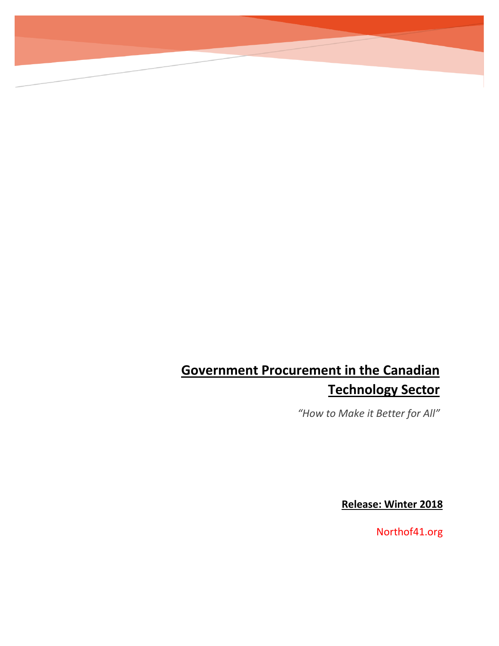# **Government Procurement in the Canadian Technology Sector**

*"How to Make it Better for All"*

**Release: Winter 2018**

Northof41.org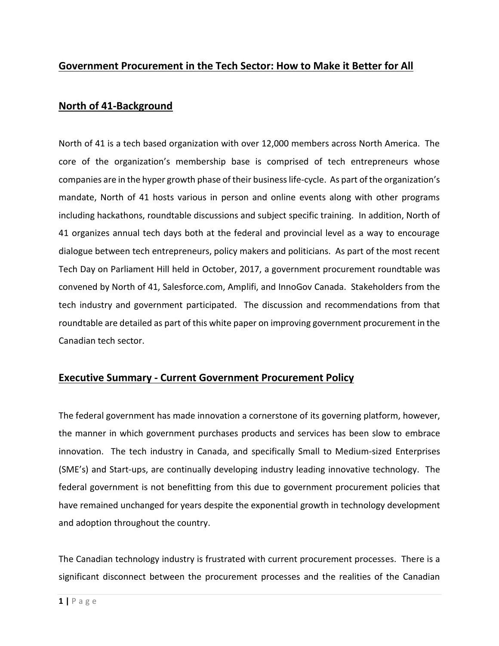## **Government Procurement in the Tech Sector: How to Make it Better for All**

#### **North of 41-Background**

North of 41 is a tech based organization with over 12,000 members across North America. The core of the organization's membership base is comprised of tech entrepreneurs whose companies are in the hyper growth phase of their business life-cycle. As part of the organization's mandate, North of 41 hosts various in person and online events along with other programs including hackathons, roundtable discussions and subject specific training. In addition, North of 41 organizes annual tech days both at the federal and provincial level as a way to encourage dialogue between tech entrepreneurs, policy makers and politicians. As part of the most recent Tech Day on Parliament Hill held in October, 2017, a government procurement roundtable was convened by North of 41, Salesforce.com, Amplifi, and InnoGov Canada. Stakeholders from the tech industry and government participated. The discussion and recommendations from that roundtable are detailed as part of this white paper on improving government procurement in the Canadian tech sector.

#### **Executive Summary - Current Government Procurement Policy**

The federal government has made innovation a cornerstone of its governing platform, however, the manner in which government purchases products and services has been slow to embrace innovation. The tech industry in Canada, and specifically Small to Medium-sized Enterprises (SME's) and Start-ups, are continually developing industry leading innovative technology. The federal government is not benefitting from this due to government procurement policies that have remained unchanged for years despite the exponential growth in technology development and adoption throughout the country.

The Canadian technology industry is frustrated with current procurement processes. There is a significant disconnect between the procurement processes and the realities of the Canadian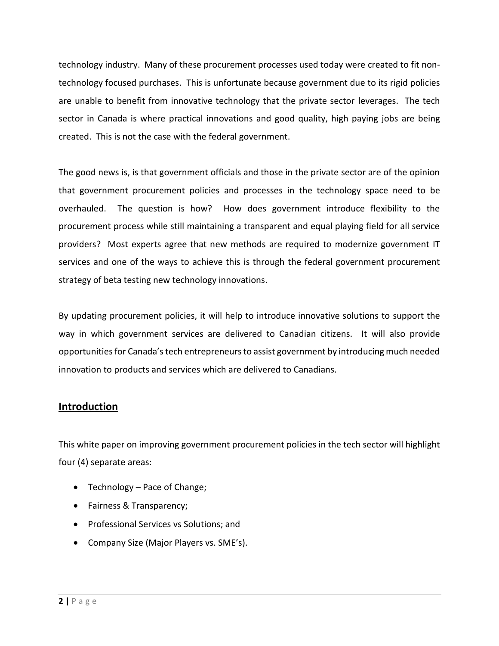technology industry. Many of these procurement processes used today were created to fit nontechnology focused purchases. This is unfortunate because government due to its rigid policies are unable to benefit from innovative technology that the private sector leverages. The tech sector in Canada is where practical innovations and good quality, high paying jobs are being created. This is not the case with the federal government.

The good news is, is that government officials and those in the private sector are of the opinion that government procurement policies and processes in the technology space need to be overhauled. The question is how? How does government introduce flexibility to the procurement process while still maintaining a transparent and equal playing field for all service providers? Most experts agree that new methods are required to modernize government IT services and one of the ways to achieve this is through the federal government procurement strategy of beta testing new technology innovations.

By updating procurement policies, it will help to introduce innovative solutions to support the way in which government services are delivered to Canadian citizens. It will also provide opportunities for Canada's tech entrepreneurs to assist government by introducing much needed innovation to products and services which are delivered to Canadians.

## **Introduction**

This white paper on improving government procurement policies in the tech sector will highlight four (4) separate areas:

- Technology Pace of Change;
- Fairness & Transparency;
- Professional Services vs Solutions; and
- Company Size (Major Players vs. SME's).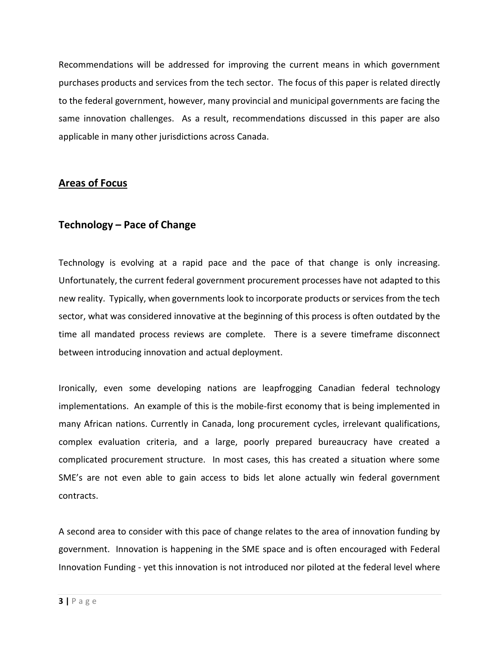Recommendations will be addressed for improving the current means in which government purchases products and services from the tech sector. The focus of this paper is related directly to the federal government, however, many provincial and municipal governments are facing the same innovation challenges. As a result, recommendations discussed in this paper are also applicable in many other jurisdictions across Canada.

## **Areas of Focus**

## **Technology – Pace of Change**

Technology is evolving at a rapid pace and the pace of that change is only increasing. Unfortunately, the current federal government procurement processes have not adapted to this new reality. Typically, when governments look to incorporate products or services from the tech sector, what was considered innovative at the beginning of this process is often outdated by the time all mandated process reviews are complete. There is a severe timeframe disconnect between introducing innovation and actual deployment.

Ironically, even some developing nations are leapfrogging Canadian federal technology implementations. An example of this is the mobile-first economy that is being implemented in many African nations. Currently in Canada, long procurement cycles, irrelevant qualifications, complex evaluation criteria, and a large, poorly prepared bureaucracy have created a complicated procurement structure. In most cases, this has created a situation where some SME's are not even able to gain access to bids let alone actually win federal government contracts.

A second area to consider with this pace of change relates to the area of innovation funding by government. Innovation is happening in the SME space and is often encouraged with Federal Innovation Funding - yet this innovation is not introduced nor piloted at the federal level where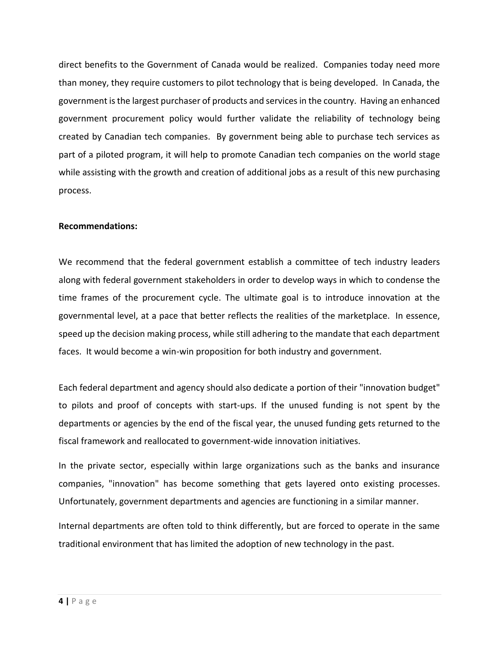direct benefits to the Government of Canada would be realized. Companies today need more than money, they require customers to pilot technology that is being developed. In Canada, the government is the largest purchaser of products and services in the country. Having an enhanced government procurement policy would further validate the reliability of technology being created by Canadian tech companies. By government being able to purchase tech services as part of a piloted program, it will help to promote Canadian tech companies on the world stage while assisting with the growth and creation of additional jobs as a result of this new purchasing process.

#### **Recommendations:**

We recommend that the federal government establish a committee of tech industry leaders along with federal government stakeholders in order to develop ways in which to condense the time frames of the procurement cycle. The ultimate goal is to introduce innovation at the governmental level, at a pace that better reflects the realities of the marketplace. In essence, speed up the decision making process, while still adhering to the mandate that each department faces. It would become a win-win proposition for both industry and government.

Each federal department and agency should also dedicate a portion of their "innovation budget" to pilots and proof of concepts with start-ups. If the unused funding is not spent by the departments or agencies by the end of the fiscal year, the unused funding gets returned to the fiscal framework and reallocated to government-wide innovation initiatives.

In the private sector, especially within large organizations such as the banks and insurance companies, "innovation" has become something that gets layered onto existing processes. Unfortunately, government departments and agencies are functioning in a similar manner.

Internal departments are often told to think differently, but are forced to operate in the same traditional environment that has limited the adoption of new technology in the past.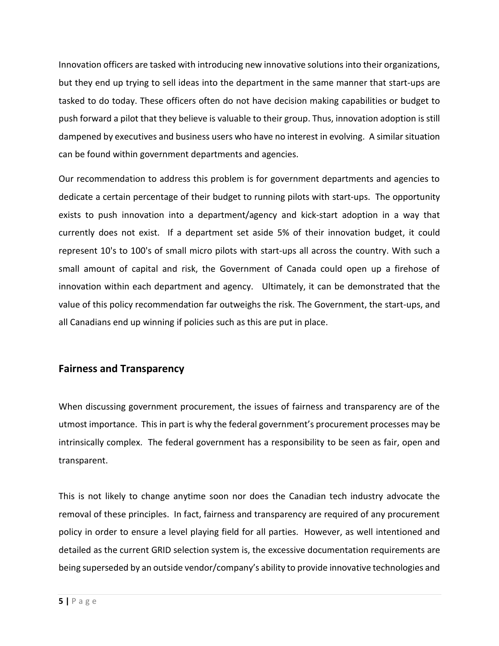Innovation officers are tasked with introducing new innovative solutions into their organizations, but they end up trying to sell ideas into the department in the same manner that start-ups are tasked to do today. These officers often do not have decision making capabilities or budget to push forward a pilot that they believe is valuable to their group. Thus, innovation adoption is still dampened by executives and business users who have no interest in evolving. A similar situation can be found within government departments and agencies.

Our recommendation to address this problem is for government departments and agencies to dedicate a certain percentage of their budget to running pilots with start-ups. The opportunity exists to push innovation into a department/agency and kick-start adoption in a way that currently does not exist. If a department set aside 5% of their innovation budget, it could represent 10's to 100's of small micro pilots with start-ups all across the country. With such a small amount of capital and risk, the Government of Canada could open up a firehose of innovation within each department and agency. Ultimately, it can be demonstrated that the value of this policy recommendation far outweighs the risk. The Government, the start-ups, and all Canadians end up winning if policies such as this are put in place.

## **Fairness and Transparency**

When discussing government procurement, the issues of fairness and transparency are of the utmost importance. This in part is why the federal government's procurement processes may be intrinsically complex. The federal government has a responsibility to be seen as fair, open and transparent.

This is not likely to change anytime soon nor does the Canadian tech industry advocate the removal of these principles. In fact, fairness and transparency are required of any procurement policy in order to ensure a level playing field for all parties. However, as well intentioned and detailed as the current GRID selection system is, the excessive documentation requirements are being superseded by an outside vendor/company's ability to provide innovative technologies and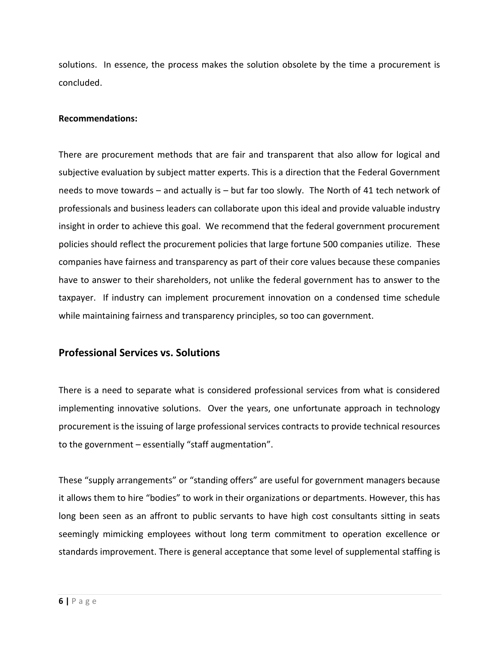solutions. In essence, the process makes the solution obsolete by the time a procurement is concluded.

#### **Recommendations:**

There are procurement methods that are fair and transparent that also allow for logical and subjective evaluation by subject matter experts. This is a direction that the Federal Government needs to move towards – and actually is – but far too slowly. The North of 41 tech network of professionals and business leaders can collaborate upon this ideal and provide valuable industry insight in order to achieve this goal. We recommend that the federal government procurement policies should reflect the procurement policies that large fortune 500 companies utilize. These companies have fairness and transparency as part of their core values because these companies have to answer to their shareholders, not unlike the federal government has to answer to the taxpayer. If industry can implement procurement innovation on a condensed time schedule while maintaining fairness and transparency principles, so too can government.

#### **Professional Services vs. Solutions**

There is a need to separate what is considered professional services from what is considered implementing innovative solutions. Over the years, one unfortunate approach in technology procurement is the issuing of large professional services contracts to provide technical resources to the government – essentially "staff augmentation".

These "supply arrangements" or "standing offers" are useful for government managers because it allows them to hire "bodies" to work in their organizations or departments. However, this has long been seen as an affront to public servants to have high cost consultants sitting in seats seemingly mimicking employees without long term commitment to operation excellence or standards improvement. There is general acceptance that some level of supplemental staffing is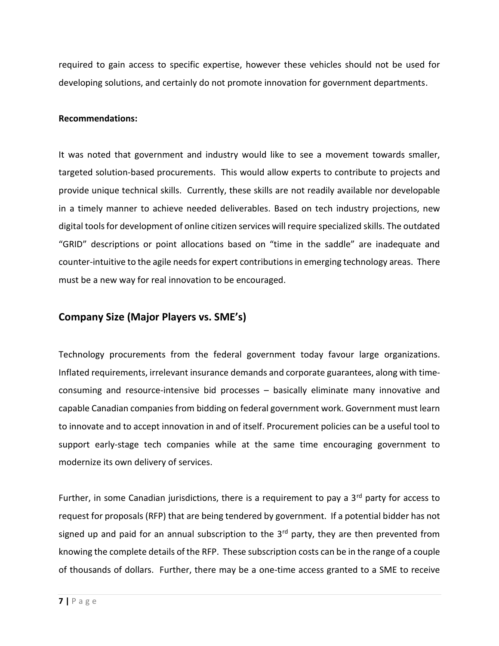required to gain access to specific expertise, however these vehicles should not be used for developing solutions, and certainly do not promote innovation for government departments.

#### **Recommendations:**

It was noted that government and industry would like to see a movement towards smaller, targeted solution-based procurements. This would allow experts to contribute to projects and provide unique technical skills. Currently, these skills are not readily available nor developable in a timely manner to achieve needed deliverables. Based on tech industry projections, new digital tools for development of online citizen services will require specialized skills. The outdated "GRID" descriptions or point allocations based on "time in the saddle" are inadequate and counter-intuitive to the agile needs for expert contributions in emerging technology areas. There must be a new way for real innovation to be encouraged.

#### **Company Size (Major Players vs. SME's)**

Technology procurements from the federal government today favour large organizations. Inflated requirements, irrelevant insurance demands and corporate guarantees, along with timeconsuming and resource-intensive bid processes – basically eliminate many innovative and capable Canadian companies from bidding on federal government work. Government must learn to innovate and to accept innovation in and of itself. Procurement policies can be a useful tool to support early-stage tech companies while at the same time encouraging government to modernize its own delivery of services.

Further, in some Canadian jurisdictions, there is a requirement to pay a  $3<sup>rd</sup>$  party for access to request for proposals (RFP) that are being tendered by government. If a potential bidder has not signed up and paid for an annual subscription to the  $3<sup>rd</sup>$  party, they are then prevented from knowing the complete details of the RFP. These subscription costs can be in the range of a couple of thousands of dollars. Further, there may be a one-time access granted to a SME to receive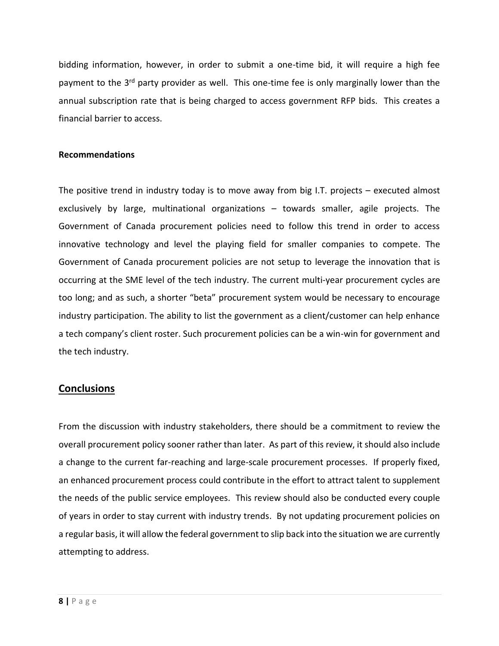bidding information, however, in order to submit a one-time bid, it will require a high fee payment to the 3<sup>rd</sup> party provider as well. This one-time fee is only marginally lower than the annual subscription rate that is being charged to access government RFP bids. This creates a financial barrier to access.

#### **Recommendations**

The positive trend in industry today is to move away from big I.T. projects – executed almost exclusively by large, multinational organizations – towards smaller, agile projects. The Government of Canada procurement policies need to follow this trend in order to access innovative technology and level the playing field for smaller companies to compete. The Government of Canada procurement policies are not setup to leverage the innovation that is occurring at the SME level of the tech industry. The current multi-year procurement cycles are too long; and as such, a shorter "beta" procurement system would be necessary to encourage industry participation. The ability to list the government as a client/customer can help enhance a tech company's client roster. Such procurement policies can be a win-win for government and the tech industry.

#### **Conclusions**

From the discussion with industry stakeholders, there should be a commitment to review the overall procurement policy sooner rather than later. As part of this review, it should also include a change to the current far-reaching and large-scale procurement processes. If properly fixed, an enhanced procurement process could contribute in the effort to attract talent to supplement the needs of the public service employees. This review should also be conducted every couple of years in order to stay current with industry trends. By not updating procurement policies on a regular basis, it will allow the federal government to slip back into the situation we are currently attempting to address.